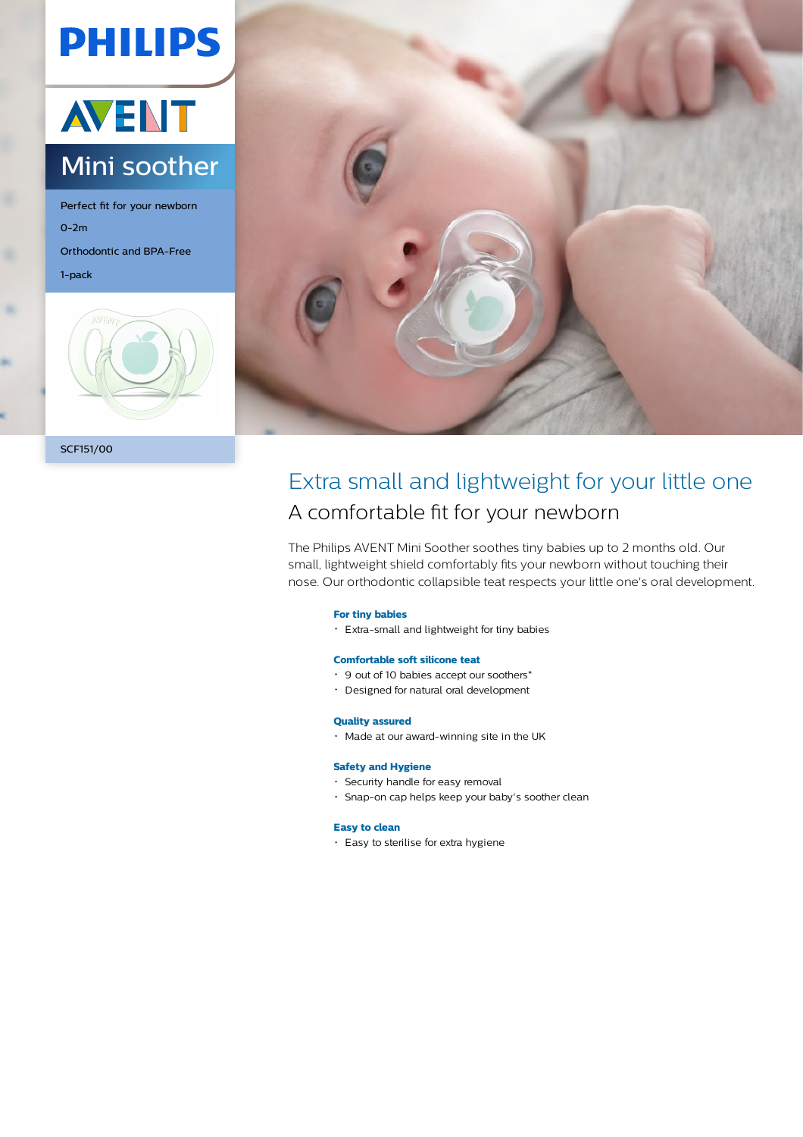# **PHILIPS**



Perfect fit for your newborn 0-2m Orthodontic and BPA-Free 1-pack





### Extra small and lightweight for your little one A comfortable fit for your newborn

The Philips AVENT Mini Soother soothes tiny babies up to 2 months old. Our small, lightweight shield comfortably fits your newborn without touching their nose. Our orthodontic collapsible teat respects your little one's oral development.

#### **For tiny babies**

Extra-small and lightweight for tiny babies

#### **Comfortable soft silicone teat**

- 9 out of 10 babies accept our soothers\*
- Designed for natural oral development

#### **Quality assured**

Made at our award-winning site in the UK

#### **Safety and Hygiene**

- Security handle for easy removal
- Snap-on cap helps keep your baby's soother clean

#### **Easy to clean**

Easy to sterilise for extra hygiene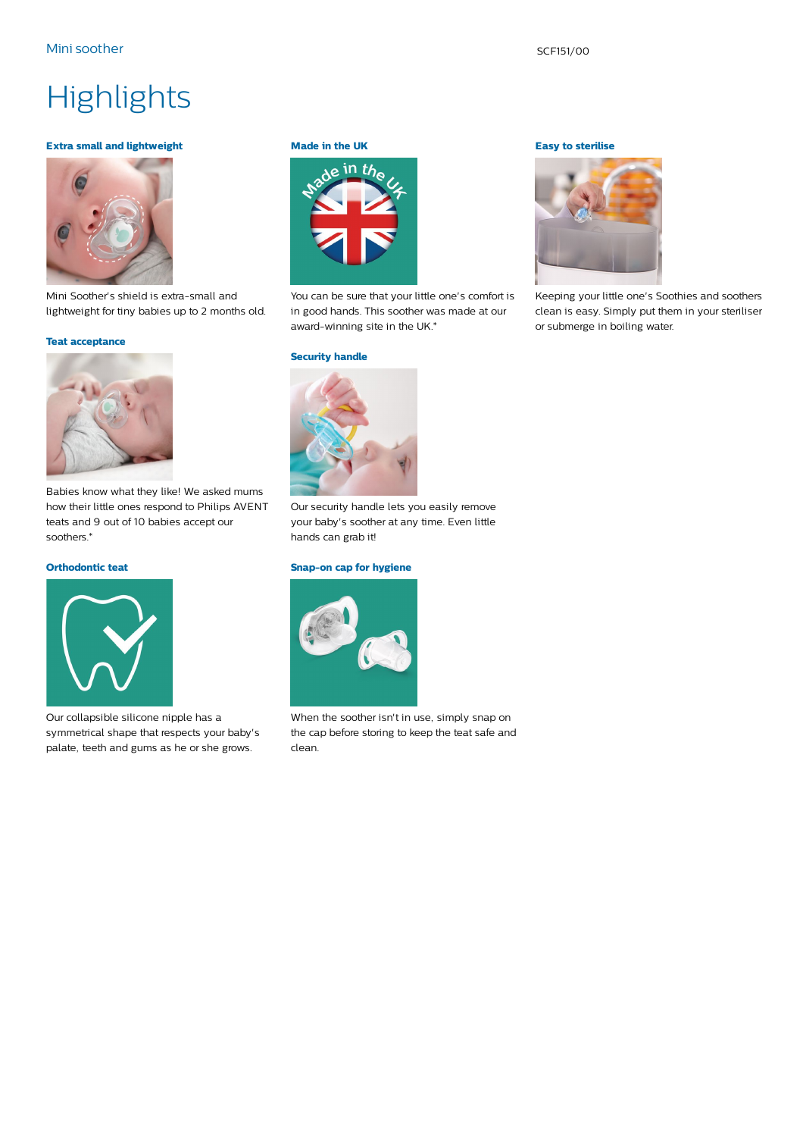#### Mini soother SCF151/00

## **Highlights**

#### **Extra small and lightweight**



Mini Soother's shield is extra-small and lightweight for tiny babies up to 2 months old.

#### **Teat acceptance**



Babies know what they like! We asked mums how their little ones respond to Philips AVENT teats and 9 out of 10 babies accept our soothers.\*

#### **Orthodontic teat**



Our collapsible silicone nipple has a symmetrical shape that respects your baby's palate, teeth and gums as he or she grows.

#### **Made in the UK**



You can be sure that your little one's comfort is in good hands. This soother was made at our award-winning site in the UK.\*

#### **Security handle**



Our security handle lets you easily remove your baby's soother at any time. Even little hands can grab it!

#### **Snap-on cap for hygiene**



When the soother isn't in use, simply snap on the cap before storing to keep the teat safe and clean.

#### **Easy to sterilise**



Keeping your little one's Soothies and soothers clean is easy. Simply put them in your steriliser or submerge in boiling water.